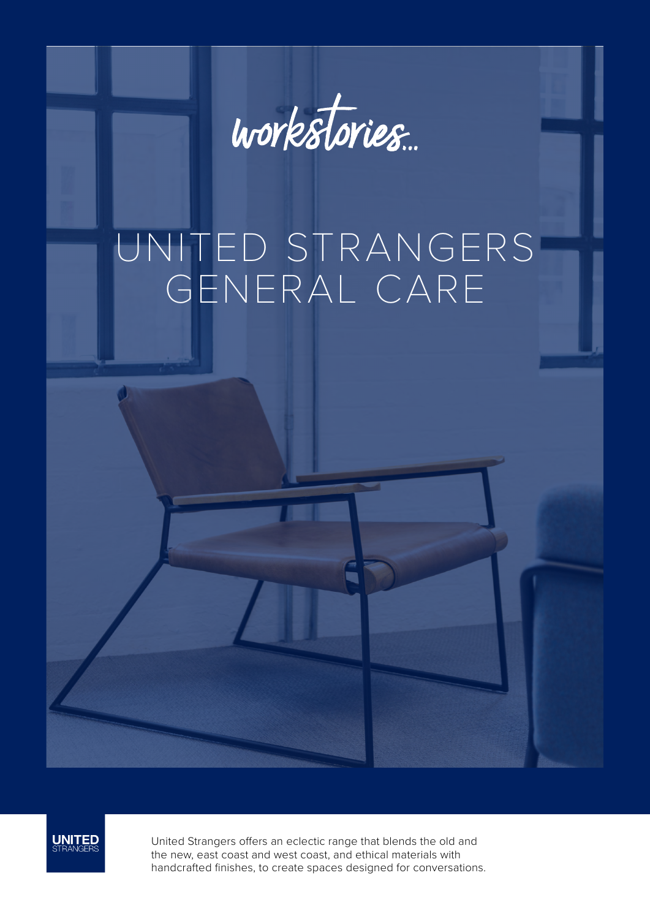

# UNITED STRANGERS GENERAL CARE



United Strangers offers an eclectic range that blends the old and the new, east coast and west coast, and ethical materials with handcrafted finishes, to create spaces designed for conversations.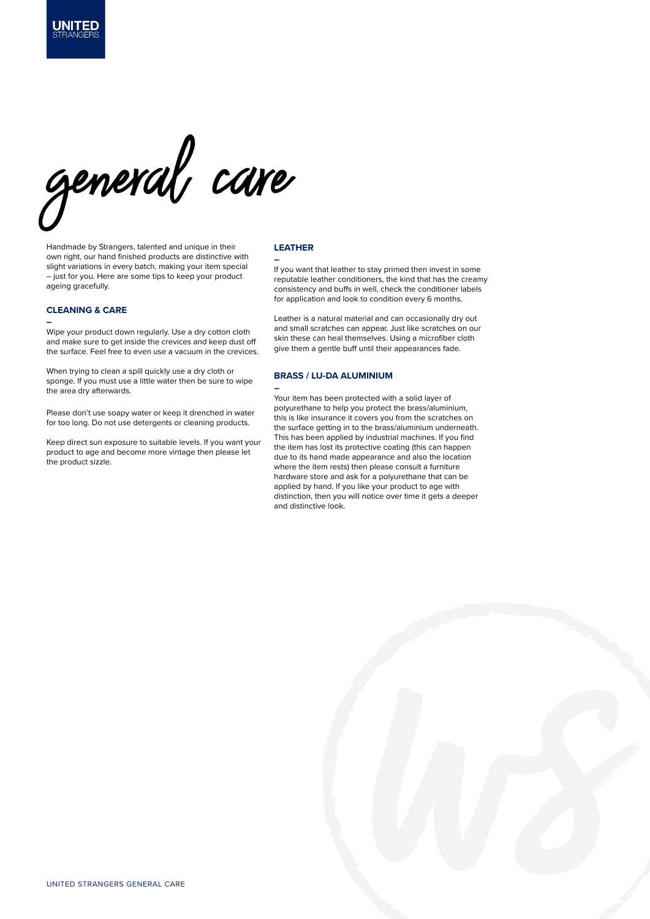

Handmade by Strangers, talented and unique in their own right, our hand finished products are distinctive with slight variations in every batch, making your item special – just for you. Here are some tips to keep your product ageing gracefully.

### **CLEANING & CARE**

LINITER

#### **–**

Wipe your product down regularly. Use a dry cotton cloth and make sure to get inside the crevices and keep dust off the surface. Feel free to even use a vacuum in the crevices.

When trying to clean a spill quickly use a dry cloth or sponge. If you must use a little water then be sure to wipe the area dry afterwards.

Please don't use soapy water or keep it drenched in water for too long. Do not use detergents or cleaning products.

Keep direct sun exposure to suitable levels. If you want your product to age and become more vintage then please let the product sizzle.

#### **LEATHER**

**–**

If you want that leather to stay primed then invest in some reputable leather conditioners, the kind that has the creamy consistency and buffs in well, check the conditioner labels for application and look to condition every 6 months.

Leather is a natural material and can occasionally dry out and small scratches can appear. Just like scratches on our skin these can heal themselves. Using a microfiber cloth give them a gentle buff until their appearances fade.

## **BRASS / LU-DA ALUMINIUM**

**–** Your item has been protected with a solid layer of polyurethane to help you protect the brass/aluminium, this is like insurance it covers you from the scratches on the surface getting in to the brass/aluminium underneath. This has been applied by industrial machines. If you find the item has lost its protective coating (this can happen due to its hand made appearance and also the location where the item rests) then please consult a furniture hardware store and ask for a polyurethane that can be applied by hand. If you like your product to age with distinction, then you will notice over time it gets a deeper and distinctive look.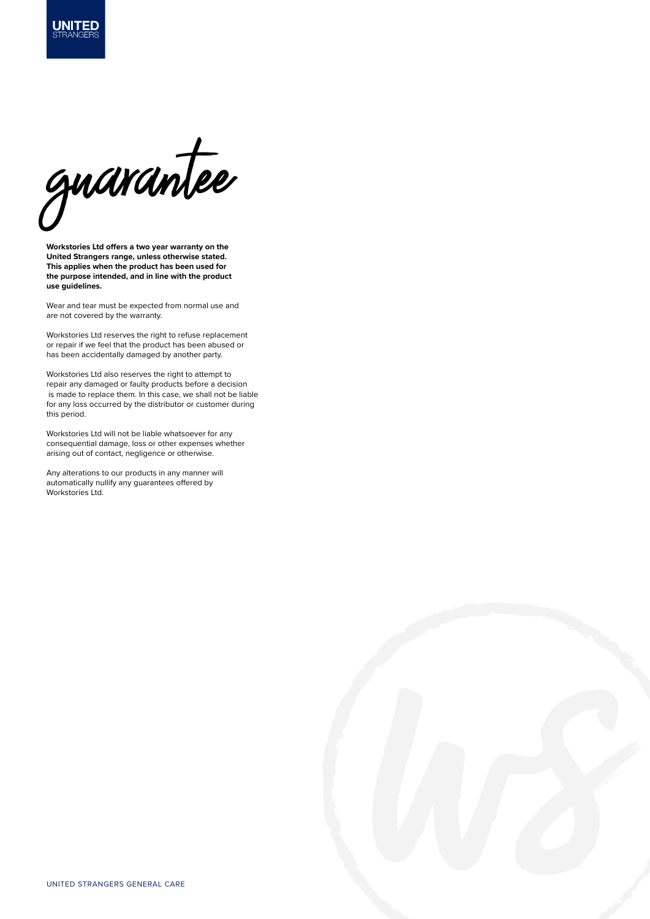

**UNITED** 

**Workstories Ltd offers a two year warranty on the United Strangers range, unless otherwise stated. This applies when the product has been used for the purpose intended, and in line with the product use guidelines.**

Wear and tear must be expected from normal use and are not covered by the warranty.

Workstories Ltd reserves the right to refuse replacement or repair if we feel that the product has been abused or has been accidentally damaged by another party.

Workstories Ltd also reserves the right to attempt to repair any damaged or faulty products before a decision is made to replace them. In this case, we shall not be liable for any loss occurred by the distributor or customer during this period.

Workstories Ltd will not be liable whatsoever for any consequential damage, loss or other expenses whether arising out of contact, negligence or otherwise.

Any alterations to our products in any manner will automatically nullify any guarantees offered by Workstories Ltd.

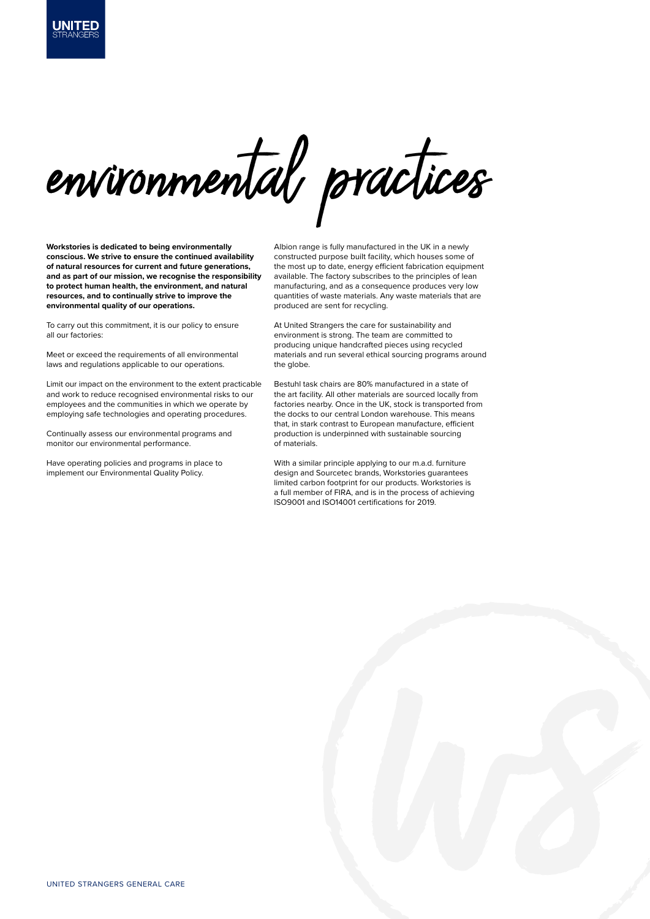

**Workstories is dedicated to being environmentally conscious. We strive to ensure the continued availability of natural resources for current and future generations, and as part of our mission, we recognise the responsibility to protect human health, the environment, and natural resources, and to continually strive to improve the environmental quality of our operations.** 

IINITER

To carry out this commitment, it is our policy to ensure all our factories:

Meet or exceed the requirements of all environmental laws and regulations applicable to our operations.

Limit our impact on the environment to the extent practicable and work to reduce recognised environmental risks to our employees and the communities in which we operate by employing safe technologies and operating procedures.

Continually assess our environmental programs and monitor our environmental performance.

Have operating policies and programs in place to implement our Environmental Quality Policy.

Albion range is fully manufactured in the UK in a newly constructed purpose built facility, which houses some of the most up to date, energy efficient fabrication equipment available. The factory subscribes to the principles of lean manufacturing, and as a consequence produces very low quantities of waste materials. Any waste materials that are produced are sent for recycling.

At United Strangers the care for sustainability and environment is strong. The team are committed to producing unique handcrafted pieces using recycled materials and run several ethical sourcing programs around the globe.

Bestuhl task chairs are 80% manufactured in a state of the art facility. All other materials are sourced locally from factories nearby. Once in the UK, stock is transported from the docks to our central London warehouse. This means that, in stark contrast to European manufacture, efficient production is underpinned with sustainable sourcing of materials.

With a similar principle applying to our m.a.d. furniture design and Sourcetec brands, Workstories guarantees limited carbon footprint for our products. Workstories is a full member of FIRA, and is in the process of achieving ISO9001 and ISO14001 certifications for 2019.